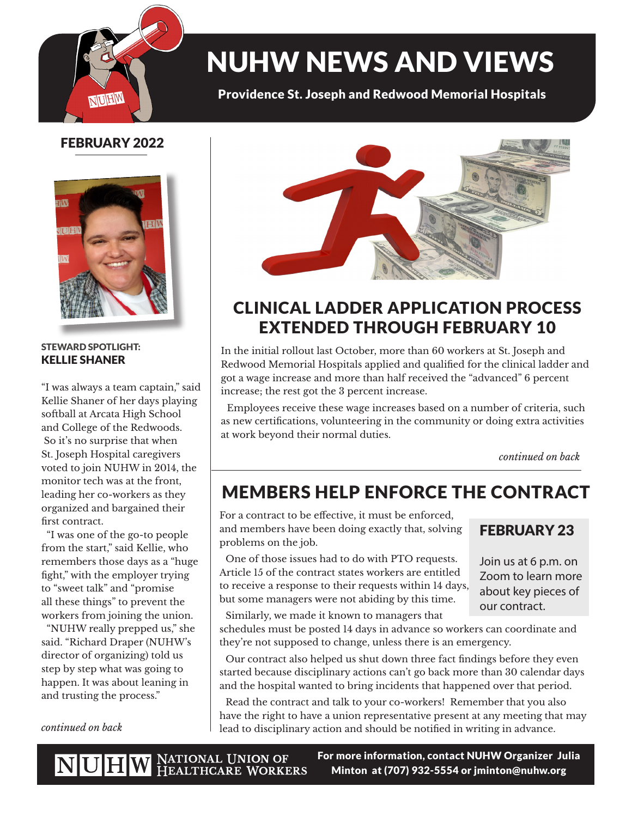

# NUHW NEWS AND VIEWS

Providence St. Joseph and Redwood Memorial Hospitals

## FEBRUARY 2022



#### STEWARD SPOTLIGHT: KELLIE SHANER

"I was always a team captain," said Kellie Shaner of her days playing softball at Arcata High School and College of the Redwoods. So it's no surprise that when St. Joseph Hospital caregivers voted to join NUHW in 2014, the monitor tech was at the front, leading her co-workers as they organized and bargained their first contract.

 "I was one of the go-to people from the start," said Kellie, who remembers those days as a "huge fight," with the employer trying to "sweet talk" and "promise all these things" to prevent the workers from joining the union.

 "NUHW really prepped us," she said. "Richard Draper (NUHW's director of organizing) told us step by step what was going to happen. It was about leaning in and trusting the process."



# CLINICAL LADDER APPLICATION PROCESS EXTENDED THROUGH FEBRUARY 10

In the initial rollout last October, more than 60 workers at St. Joseph and Redwood Memorial Hospitals applied and qualified for the clinical ladder and got a wage increase and more than half received the "advanced" 6 percent increase; the rest got the 3 percent increase.

Employees receive these wage increases based on a number of criteria, such as new certifications, volunteering in the community or doing extra activities at work beyond their normal duties.

*continued on back*

# MEMBERS HELP ENFORCE THE CONTRACT

For a contract to be effective, it must be enforced, and members have been doing exactly that, solving problems on the job.

One of those issues had to do with PTO requests. Article 15 of the contract states workers are entitled to receive a response to their requests within 14 days, but some managers were not abiding by this time.

Similarly, we made it known to managers that

schedules must be posted 14 days in advance so workers can coordinate and they're not supposed to change, unless there is an emergency.

Our contract also helped us shut down three fact findings before they even started because disciplinary actions can't go back more than 30 calendar days and the hospital wanted to bring incidents that happened over that period.

Read the contract and talk to your co-workers! Remember that you also have the right to have a union representative present at any meeting that may *continued on back* lead to disciplinary action and should be notified in writing in advance.

### FEBRUARY 23

Join us at 6 p.m. on Zoom to learn more about key pieces of our contract.

For more information, contact NUHW Organizer Julia NUHW NATIONAL UNION OF HEALTHCARE WORKERS Minton at (707) 932-5554 or jminton@nuhw.org